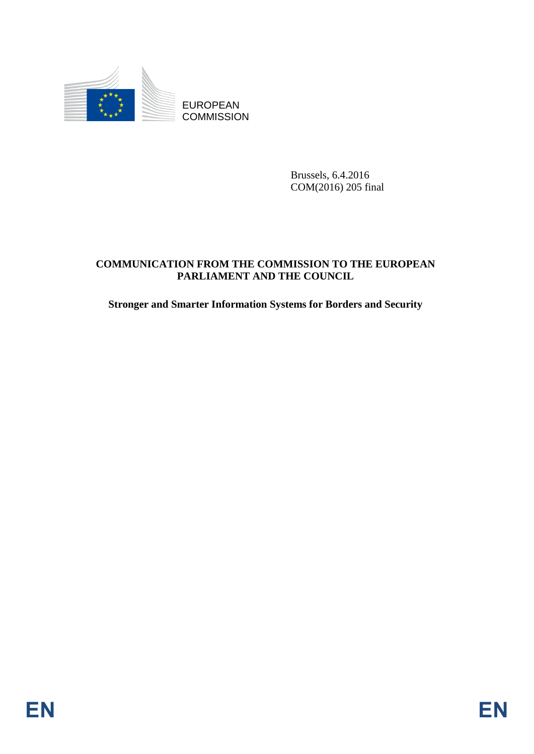

Brussels, 6.4.2016 COM(2016) 205 final

# EUROPEAN<br>
COMMUNICATION PROM<br>
COMMUNICATION PROM<br>
COMMUNICATION PROM<br>
TRACEANEST AND THE COUNCIL<br>
Simage and Smarter Information Systems for Ronders and Security<br>
FINE<br>
EN **COMMUNICATION FROM THE COMMISSION TO THE EUROPEAN PARLIAMENT AND THE COUNCIL**

**Stronger and Smarter Information Systems for Borders and Security**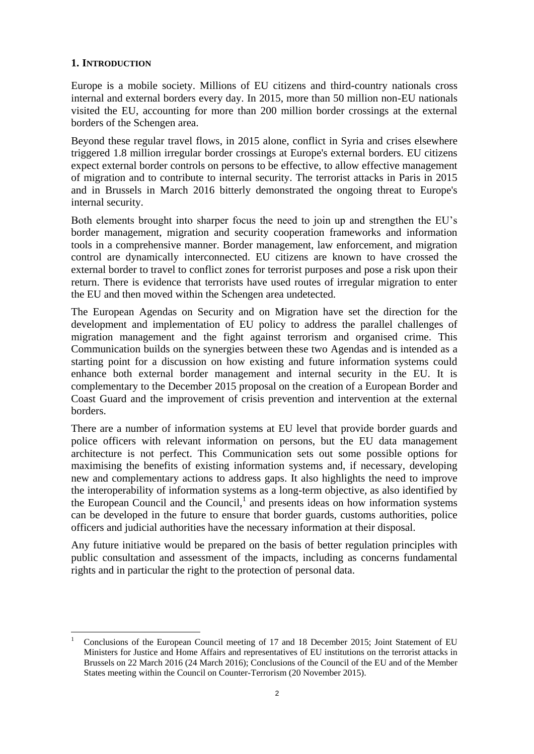## **1. INTRODUCTION**

 $\overline{\phantom{a}}$ 

Europe is a mobile society. Millions of EU citizens and third-country nationals cross internal and external borders every day. In 2015, more than 50 million non-EU nationals visited the EU, accounting for more than 200 million border crossings at the external borders of the Schengen area.

Beyond these regular travel flows, in 2015 alone, conflict in Syria and crises elsewhere triggered 1.8 million irregular border crossings at Europe's external borders. EU citizens expect external border controls on persons to be effective, to allow effective management of migration and to contribute to internal security. The terrorist attacks in Paris in 2015 and in Brussels in March 2016 bitterly demonstrated the ongoing threat to Europe's internal security.

Both elements brought into sharper focus the need to join up and strengthen the EU's border management, migration and security cooperation frameworks and information tools in a comprehensive manner. Border management, law enforcement, and migration control are dynamically interconnected. EU citizens are known to have crossed the external border to travel to conflict zones for terrorist purposes and pose a risk upon their return. There is evidence that terrorists have used routes of irregular migration to enter the EU and then moved within the Schengen area undetected.

The European Agendas on Security and on Migration have set the direction for the development and implementation of EU policy to address the parallel challenges of migration management and the fight against terrorism and organised crime. This Communication builds on the synergies between these two Agendas and is intended as a starting point for a discussion on how existing and future information systems could enhance both external border management and internal security in the EU. It is complementary to the December 2015 proposal on the creation of a European Border and Coast Guard and the improvement of crisis prevention and intervention at the external borders.

There are a number of information systems at EU level that provide border guards and police officers with relevant information on persons, but the EU data management architecture is not perfect. This Communication sets out some possible options for maximising the benefits of existing information systems and, if necessary, developing new and complementary actions to address gaps. It also highlights the need to improve the interoperability of information systems as a long-term objective, as also identified by the European Council and the Council,<sup>1</sup> and presents ideas on how information systems can be developed in the future to ensure that border guards, customs authorities, police officers and judicial authorities have the necessary information at their disposal.

Any future initiative would be prepared on the basis of better regulation principles with public consultation and assessment of the impacts, including as concerns fundamental rights and in particular the right to the protection of personal data.

<sup>1</sup> Conclusions of the European Council meeting of 17 and 18 December 2015; Joint Statement of EU Ministers for Justice and Home Affairs and representatives of EU institutions on the terrorist attacks in Brussels on 22 March 2016 (24 March 2016); Conclusions of the Council of the EU and of the Member States meeting within the Council on Counter-Terrorism (20 November 2015).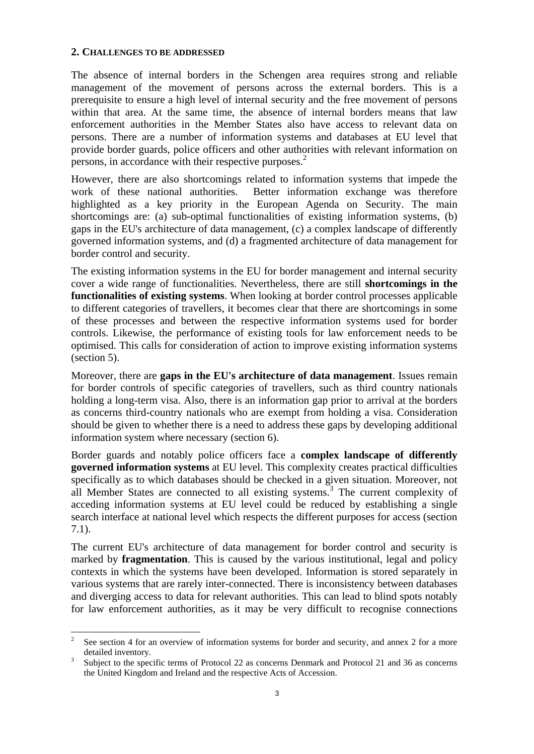#### **2. CHALLENGES TO BE ADDRESSED**

 $\overline{\phantom{a}}$ 

The absence of internal borders in the Schengen area requires strong and reliable management of the movement of persons across the external borders. This is a prerequisite to ensure a high level of internal security and the free movement of persons within that area. At the same time, the absence of internal borders means that law enforcement authorities in the Member States also have access to relevant data on persons. There are a number of information systems and databases at EU level that provide border guards, police officers and other authorities with relevant information on persons, in accordance with their respective purposes.<sup>2</sup>

However, there are also shortcomings related to information systems that impede the work of these national authorities. Better information exchange was therefore highlighted as a key priority in the European Agenda on Security. The main shortcomings are: (a) sub-optimal functionalities of existing information systems, (b) gaps in the EU's architecture of data management, (c) a complex landscape of differently governed information systems, and (d) a fragmented architecture of data management for border control and security.

The existing information systems in the EU for border management and internal security cover a wide range of functionalities. Nevertheless, there are still **shortcomings in the functionalities of existing systems**. When looking at border control processes applicable to different categories of travellers, it becomes clear that there are shortcomings in some of these processes and between the respective information systems used for border controls. Likewise, the performance of existing tools for law enforcement needs to be optimised. This calls for consideration of action to improve existing information systems (section 5).

Moreover, there are **gaps in the EU's architecture of data management**. Issues remain for border controls of specific categories of travellers, such as third country nationals holding a long-term visa. Also, there is an information gap prior to arrival at the borders as concerns third-country nationals who are exempt from holding a visa. Consideration should be given to whether there is a need to address these gaps by developing additional information system where necessary (section 6).

Border guards and notably police officers face a **complex landscape of differently governed information systems** at EU level. This complexity creates practical difficulties specifically as to which databases should be checked in a given situation. Moreover, not all Member States are connected to all existing systems.<sup>3</sup> The current complexity of acceding information systems at EU level could be reduced by establishing a single search interface at national level which respects the different purposes for access (section 7.1).

The current EU's architecture of data management for border control and security is marked by **fragmentation**. This is caused by the various institutional, legal and policy contexts in which the systems have been developed. Information is stored separately in various systems that are rarely inter-connected. There is inconsistency between databases and diverging access to data for relevant authorities. This can lead to blind spots notably for law enforcement authorities, as it may be very difficult to recognise connections

<sup>2</sup> See section 4 for an overview of information systems for border and security, and annex 2 for a more detailed inventory.

<sup>3</sup> Subject to the specific terms of Protocol 22 as concerns Denmark and Protocol 21 and 36 as concerns the United Kingdom and Ireland and the respective Acts of Accession.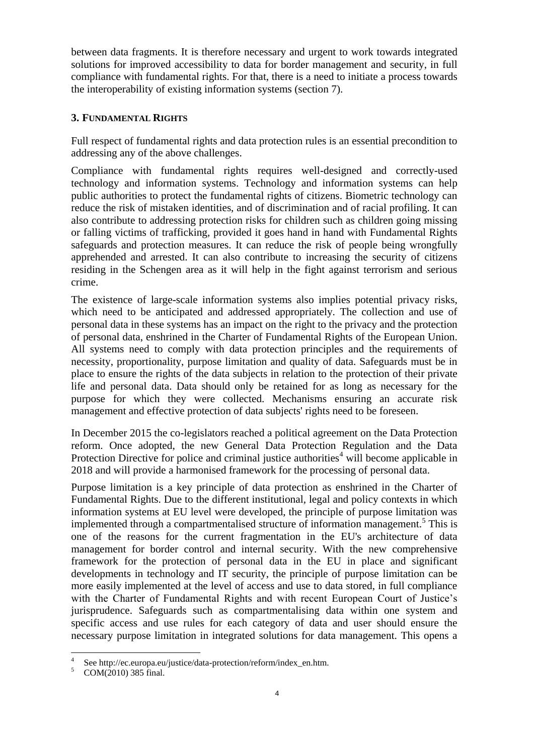between data fragments. It is therefore necessary and urgent to work towards integrated solutions for improved accessibility to data for border management and security, in full compliance with fundamental rights. For that, there is a need to initiate a process towards the interoperability of existing information systems (section 7).

# **3. FUNDAMENTAL RIGHTS**

Full respect of fundamental rights and data protection rules is an essential precondition to addressing any of the above challenges.

Compliance with fundamental rights requires well-designed and correctly-used technology and information systems. Technology and information systems can help public authorities to protect the fundamental rights of citizens. Biometric technology can reduce the risk of mistaken identities, and of discrimination and of racial profiling. It can also contribute to addressing protection risks for children such as children going missing or falling victims of trafficking, provided it goes hand in hand with Fundamental Rights safeguards and protection measures. It can reduce the risk of people being wrongfully apprehended and arrested. It can also contribute to increasing the security of citizens residing in the Schengen area as it will help in the fight against terrorism and serious crime.

The existence of large-scale information systems also implies potential privacy risks, which need to be anticipated and addressed appropriately. The collection and use of personal data in these systems has an impact on the right to the privacy and the protection of personal data, enshrined in the Charter of Fundamental Rights of the European Union. All systems need to comply with data protection principles and the requirements of necessity, proportionality, purpose limitation and quality of data. Safeguards must be in place to ensure the rights of the data subjects in relation to the protection of their private life and personal data. Data should only be retained for as long as necessary for the purpose for which they were collected. Mechanisms ensuring an accurate risk management and effective protection of data subjects' rights need to be foreseen.

In December 2015 the co-legislators reached a political agreement on the Data Protection reform. Once adopted, the new General Data Protection Regulation and the Data Protection Directive for police and criminal justice authorities<sup>4</sup> will become applicable in 2018 and will provide a harmonised framework for the processing of personal data.

Purpose limitation is a key principle of data protection as enshrined in the Charter of Fundamental Rights. Due to the different institutional, legal and policy contexts in which information systems at EU level were developed, the principle of purpose limitation was implemented through a compartmentalised structure of information management.<sup>5</sup> This is one of the reasons for the current fragmentation in the EU's architecture of data management for border control and internal security. With the new comprehensive framework for the protection of personal data in the EU in place and significant developments in technology and IT security, the principle of purpose limitation can be more easily implemented at the level of access and use to data stored, in full compliance with the Charter of Fundamental Rights and with recent European Court of Justice's jurisprudence. Safeguards such as compartmentalising data within one system and specific access and use rules for each category of data and user should ensure the necessary purpose limitation in integrated solutions for data management. This opens a

l

<sup>4</sup> See http://ec.europa.eu/justice/data-protection/reform/index\_en.htm.

 $5$  COM(2010) 385 final.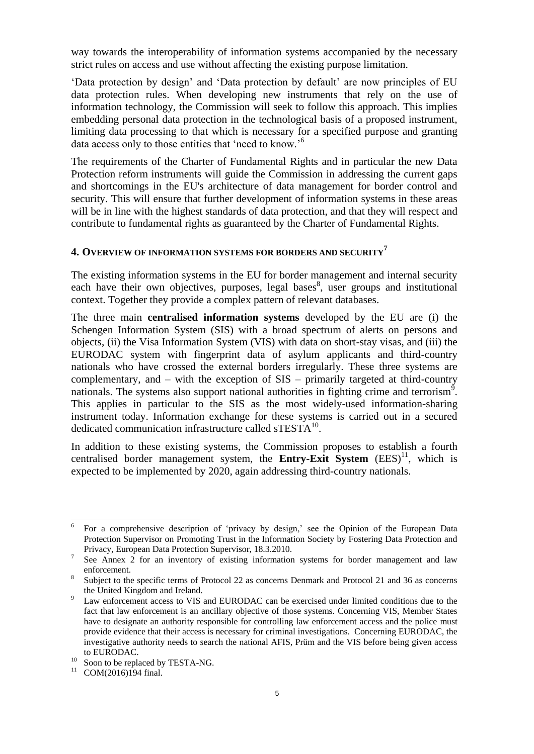way towards the interoperability of information systems accompanied by the necessary strict rules on access and use without affecting the existing purpose limitation.

'Data protection by design' and 'Data protection by default' are now principles of EU data protection rules. When developing new instruments that rely on the use of information technology, the Commission will seek to follow this approach. This implies embedding personal data protection in the technological basis of a proposed instrument, limiting data processing to that which is necessary for a specified purpose and granting data access only to those entities that 'need to know.'<sup>6</sup>

The requirements of the Charter of Fundamental Rights and in particular the new Data Protection reform instruments will guide the Commission in addressing the current gaps and shortcomings in the EU's architecture of data management for border control and security. This will ensure that further development of information systems in these areas will be in line with the highest standards of data protection, and that they will respect and contribute to fundamental rights as guaranteed by the Charter of Fundamental Rights.

## **4. OVERVIEW OF INFORMATION SYSTEMS FOR BORDERS AND SECURITY<sup>7</sup>**

The existing information systems in the EU for border management and internal security each have their own objectives, purposes, legal bases<sup>8</sup>, user groups and institutional context. Together they provide a complex pattern of relevant databases.

The three main **centralised information systems** developed by the EU are (i) the Schengen Information System (SIS) with a broad spectrum of alerts on persons and objects, (ii) the Visa Information System (VIS) with data on short-stay visas, and (iii) the EURODAC system with fingerprint data of asylum applicants and third-country nationals who have crossed the external borders irregularly. These three systems are complementary, and – with the exception of SIS – primarily targeted at third-country nationals. The systems also support national authorities in fighting crime and terrorism<sup>9</sup>. This applies in particular to the SIS as the most widely-used information-sharing instrument today. Information exchange for these systems is carried out in a secured dedicated communication infrastructure called sTESTA<sup>10</sup>.

In addition to these existing systems, the Commission proposes to establish a fourth centralised border management system, the **Entry-Exit System**  $(EES)^{11}$ , which is expected to be implemented by 2020, again addressing third-country nationals.

 6 For a comprehensive description of 'privacy by design,' see the Opinion of the European Data Protection Supervisor on Promoting Trust in the Information Society by Fostering Data Protection and Privacy, European Data Protection Supervisor, 18.3.2010.

<sup>7</sup> See Annex 2 for an inventory of existing information systems for border management and law enforcement.

<sup>8</sup> Subject to the specific terms of Protocol 22 as concerns Denmark and Protocol 21 and 36 as concerns the United Kingdom and Ireland.

Law enforcement access to VIS and EURODAC can be exercised under limited conditions due to the fact that law enforcement is an ancillary objective of those systems. Concerning VIS, Member States have to designate an authority responsible for controlling law enforcement access and the police must provide evidence that their access is necessary for criminal investigations. Concerning EURODAC, the investigative authority needs to search the national AFIS, Prüm and the VIS before being given access to EURODAC.

<sup>&</sup>lt;sup>10</sup> Soon to be replaced by TESTA-NG.

 $11$  COM(2016)194 final.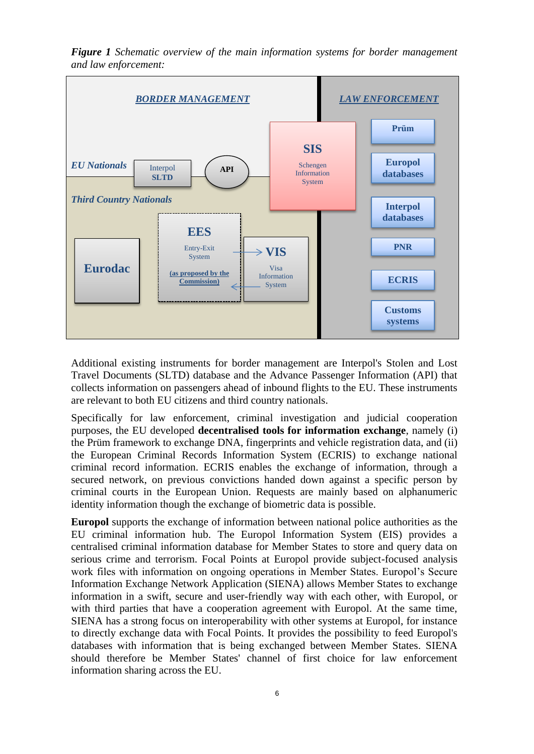*Figure 1 Schematic overview of the main information systems for border management and law enforcement:* 



Additional existing instruments for border management are Interpol's Stolen and Lost Travel Documents (SLTD) database and the Advance Passenger Information (API) that collects information on passengers ahead of inbound flights to the EU. These instruments are relevant to both EU citizens and third country nationals.

Specifically for law enforcement, criminal investigation and judicial cooperation purposes, the EU developed **decentralised tools for information exchange**, namely (i) the Prüm framework to exchange DNA, fingerprints and vehicle registration data, and (ii) the European Criminal Records Information System (ECRIS) to exchange national criminal record information. ECRIS enables the exchange of information, through a secured network, on previous convictions handed down against a specific person by criminal courts in the European Union. Requests are mainly based on alphanumeric identity information though the exchange of biometric data is possible.

**Europol** supports the exchange of information between national police authorities as the EU criminal information hub. The Europol Information System (EIS) provides a centralised criminal information database for Member States to store and query data on serious crime and terrorism. Focal Points at Europol provide subject-focused analysis work files with information on ongoing operations in Member States. Europol's Secure Information Exchange Network Application (SIENA) allows Member States to exchange information in a swift, secure and user-friendly way with each other, with Europol, or with third parties that have a cooperation agreement with Europol. At the same time, SIENA has a strong focus on interoperability with other systems at Europol, for instance to directly exchange data with Focal Points. It provides the possibility to feed Europol's databases with information that is being exchanged between Member States. SIENA should therefore be Member States' channel of first choice for law enforcement information sharing across the EU.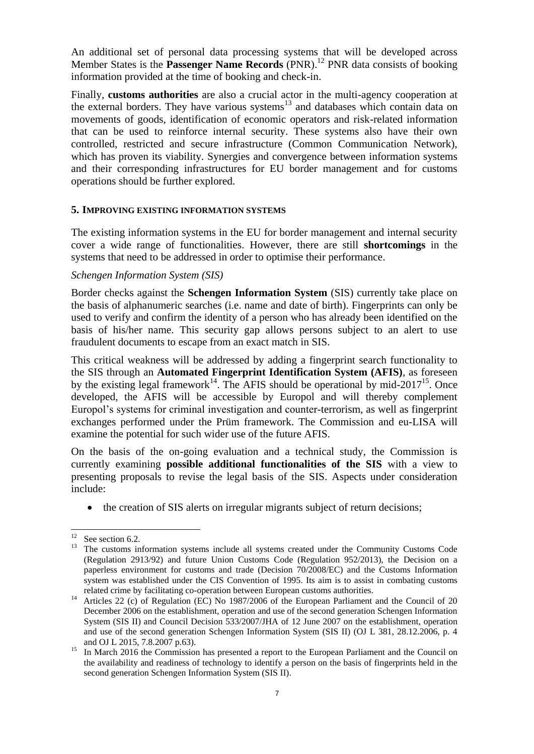An additional set of personal data processing systems that will be developed across Member States is the **Passenger Name Records** (PNR). <sup>12</sup> PNR data consists of booking information provided at the time of booking and check-in.

Finally, **customs authorities** are also a crucial actor in the multi-agency cooperation at the external borders. They have various systems<sup>13</sup> and databases which contain data on movements of goods, identification of economic operators and risk-related information that can be used to reinforce internal security. These systems also have their own controlled, restricted and secure infrastructure (Common Communication Network), which has proven its viability. Synergies and convergence between information systems and their corresponding infrastructures for EU border management and for customs operations should be further explored.

#### **5. IMPROVING EXISTING INFORMATION SYSTEMS**

The existing information systems in the EU for border management and internal security cover a wide range of functionalities. However, there are still **shortcomings** in the systems that need to be addressed in order to optimise their performance.

#### *Schengen Information System (SIS)*

Border checks against the **Schengen Information System** (SIS) currently take place on the basis of alphanumeric searches (i.e. name and date of birth). Fingerprints can only be used to verify and confirm the identity of a person who has already been identified on the basis of his/her name. This security gap allows persons subject to an alert to use fraudulent documents to escape from an exact match in SIS.

This critical weakness will be addressed by adding a fingerprint search functionality to the SIS through an **Automated Fingerprint Identification System (AFIS)**, as foreseen by the existing legal framework<sup>14</sup>. The AFIS should be operational by mid-2017<sup>15</sup>. Once developed, the AFIS will be accessible by Europol and will thereby complement Europol's systems for criminal investigation and counter-terrorism, as well as fingerprint exchanges performed under the Prüm framework. The Commission and eu-LISA will examine the potential for such wider use of the future AFIS.

On the basis of the on-going evaluation and a technical study, the Commission is currently examining **possible additional functionalities of the SIS** with a view to presenting proposals to revise the legal basis of the SIS. Aspects under consideration include:

• the creation of SIS alerts on irregular migrants subject of return decisions;

 $12$ See section 6.2.

<sup>13</sup> The customs information systems include all systems created under the Community Customs Code (Regulation 2913/92) and future Union Customs Code (Regulation 952/2013), the Decision on a paperless environment for customs and trade (Decision 70/2008/EC) and the Customs Information system was established under the CIS Convention of 1995. Its aim is to assist in combating customs related crime by facilitating co-operation between European customs authorities.

<sup>14</sup> Articles 22 (c) of Regulation (EC) No 1987/2006 of the European Parliament and the Council of 20 December 2006 on the establishment, operation and use of the second generation Schengen Information System (SIS II) and Council Decision 533/2007/JHA of 12 June 2007 on the establishment, operation and use of the second generation Schengen Information System (SIS II) (OJ L 381, 28.12.2006, p. 4 and OJ L 2015, 7.8.2007 p.63).

<sup>&</sup>lt;sup>15</sup> In March 2016 the Commission has presented a report to the European Parliament and the Council on the availability and readiness of technology to identify a person on the basis of fingerprints held in the second generation Schengen Information System (SIS II).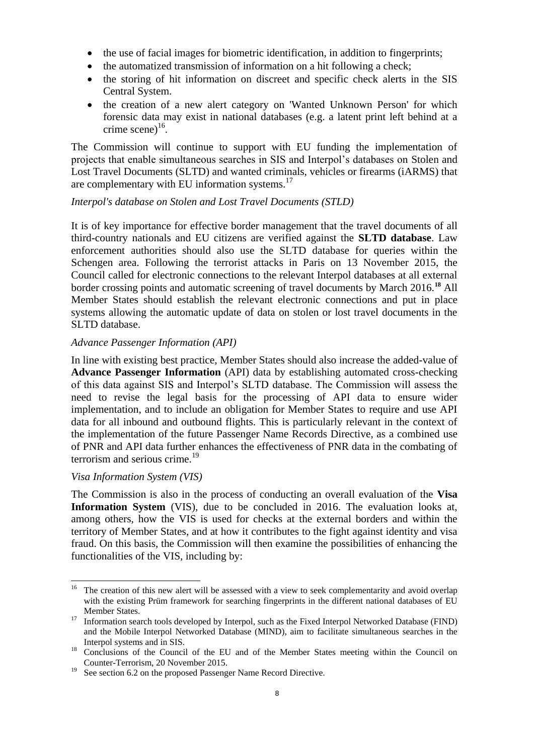- the use of facial images for biometric identification, in addition to fingerprints;
- the automatized transmission of information on a hit following a check;
- the storing of hit information on discreet and specific check alerts in the SIS Central System.
- the creation of a new alert category on 'Wanted Unknown Person' for which forensic data may exist in national databases (e.g. a latent print left behind at a crime scene) $^{16}$ .

The Commission will continue to support with EU funding the implementation of projects that enable simultaneous searches in SIS and Interpol's databases on Stolen and Lost Travel Documents (SLTD) and wanted criminals, vehicles or firearms (iARMS) that are complementary with EU information systems. $17$ 

#### *Interpol's database on Stolen and Lost Travel Documents (STLD)*

It is of key importance for effective border management that the travel documents of all third-country nationals and EU citizens are verified against the **SLTD database**. Law enforcement authorities should also use the SLTD database for queries within the Schengen area. Following the terrorist attacks in Paris on 13 November 2015, the Council called for electronic connections to the relevant Interpol databases at all external border crossing points and automatic screening of travel documents by March 2016.**<sup>18</sup>** All Member States should establish the relevant electronic connections and put in place systems allowing the automatic update of data on stolen or lost travel documents in the SLTD database.

#### *Advance Passenger Information (API)*

In line with existing best practice, Member States should also increase the added-value of **Advance Passenger Information** (API) data by establishing automated cross-checking of this data against SIS and Interpol's SLTD database. The Commission will assess the need to revise the legal basis for the processing of API data to ensure wider implementation, and to include an obligation for Member States to require and use API data for all inbound and outbound flights. This is particularly relevant in the context of the implementation of the future Passenger Name Records Directive, as a combined use of PNR and API data further enhances the effectiveness of PNR data in the combating of terrorism and serious crime.<sup>19</sup>

#### *Visa Information System (VIS)*

l

The Commission is also in the process of conducting an overall evaluation of the **Visa Information System** (VIS), due to be concluded in 2016. The evaluation looks at, among others, how the VIS is used for checks at the external borders and within the territory of Member States, and at how it contributes to the fight against identity and visa fraud. On this basis, the Commission will then examine the possibilities of enhancing the functionalities of the VIS, including by:

<sup>&</sup>lt;sup>16</sup> The creation of this new alert will be assessed with a view to seek complementarity and avoid overlap with the existing Prüm framework for searching fingerprints in the different national databases of EU Member States.

<sup>&</sup>lt;sup>17</sup> Information search tools developed by Interpol, such as the Fixed Interpol Networked Database (FIND) and the Mobile Interpol Networked Database (MIND), aim to facilitate simultaneous searches in the Interpol systems and in SIS.

<sup>&</sup>lt;sup>18</sup> Conclusions of the Council of the EU and of the Member States meeting within the Council on Counter-Terrorism, 20 November 2015.

<sup>&</sup>lt;sup>19</sup> See section 6.2 on the proposed Passenger Name Record Directive.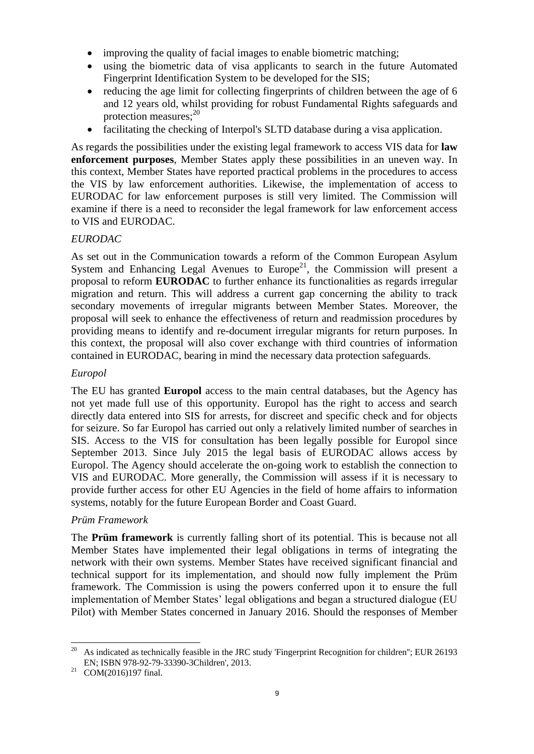- improving the quality of facial images to enable biometric matching;
- using the biometric data of visa applicants to search in the future Automated Fingerprint Identification System to be developed for the SIS;
- reducing the age limit for collecting fingerprints of children between the age of 6 and 12 years old, whilst providing for robust Fundamental Rights safeguards and protection measures; 20
- facilitating the checking of Interpol's SLTD database during a visa application.

As regards the possibilities under the existing legal framework to access VIS data for **law enforcement purposes**, Member States apply these possibilities in an uneven way. In this context, Member States have reported practical problems in the procedures to access the VIS by law enforcement authorities. Likewise, the implementation of access to EURODAC for law enforcement purposes is still very limited. The Commission will examine if there is a need to reconsider the legal framework for law enforcement access to VIS and EURODAC.

# *EURODAC*

As set out in the Communication towards a reform of the Common European Asylum System and Enhancing Legal Avenues to Europe<sup>21</sup>, the Commission will present a proposal to reform **EURODAC** to further enhance its functionalities as regards irregular migration and return. This will address a current gap concerning the ability to track secondary movements of irregular migrants between Member States. Moreover, the proposal will seek to enhance the effectiveness of return and readmission procedures by providing means to identify and re-document irregular migrants for return purposes. In this context, the proposal will also cover exchange with third countries of information contained in EURODAC, bearing in mind the necessary data protection safeguards.

## *Europol*

The EU has granted **Europol** access to the main central databases, but the Agency has not yet made full use of this opportunity. Europol has the right to access and search directly data entered into SIS for arrests, for discreet and specific check and for objects for seizure. So far Europol has carried out only a relatively limited number of searches in SIS. Access to the VIS for consultation has been legally possible for Europol since September 2013. Since July 2015 the legal basis of EURODAC allows access by Europol. The Agency should accelerate the on-going work to establish the connection to VIS and EURODAC. More generally, the Commission will assess if it is necessary to provide further access for other EU Agencies in the field of home affairs to information systems, notably for the future European Border and Coast Guard.

## *Prüm Framework*

The **Prüm framework** is currently falling short of its potential. This is because not all Member States have implemented their legal obligations in terms of integrating the network with their own systems. Member States have received significant financial and technical support for its implementation, and should now fully implement the Prüm framework. The Commission is using the powers conferred upon it to ensure the full implementation of Member States' legal obligations and began a structured dialogue (EU Pilot) with Member States concerned in January 2016. Should the responses of Member

 $20\,$ <sup>20</sup> As indicated as technically feasible in the JRC study 'Fingerprint Recognition for children''; EUR 26193 EN; ISBN 978-92-79-33390-3Children', 2013.

<sup>&</sup>lt;sup>21</sup> COM(2016)197 final.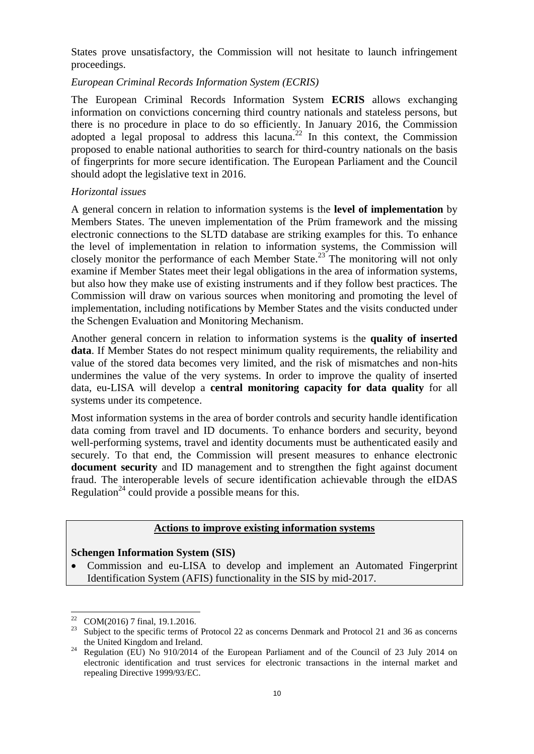States prove unsatisfactory, the Commission will not hesitate to launch infringement proceedings.

#### *European Criminal Records Information System (ECRIS)*

The European Criminal Records Information System **ECRIS** allows exchanging information on convictions concerning third country nationals and stateless persons, but there is no procedure in place to do so efficiently. In January 2016, the Commission adopted a legal proposal to address this lacuna.<sup>22</sup> In this context, the Commission proposed to enable national authorities to search for third-country nationals on the basis of fingerprints for more secure identification. The European Parliament and the Council should adopt the legislative text in 2016.

#### *Horizontal issues*

A general concern in relation to information systems is the **level of implementation** by Members States. The uneven implementation of the Prüm framework and the missing electronic connections to the SLTD database are striking examples for this. To enhance the level of implementation in relation to information systems, the Commission will closely monitor the performance of each Member State.<sup>23</sup> The monitoring will not only examine if Member States meet their legal obligations in the area of information systems, but also how they make use of existing instruments and if they follow best practices. The Commission will draw on various sources when monitoring and promoting the level of implementation, including notifications by Member States and the visits conducted under the Schengen Evaluation and Monitoring Mechanism.

Another general concern in relation to information systems is the **quality of inserted data**. If Member States do not respect minimum quality requirements, the reliability and value of the stored data becomes very limited, and the risk of mismatches and non-hits undermines the value of the very systems. In order to improve the quality of inserted data, eu-LISA will develop a **central monitoring capacity for data quality** for all systems under its competence.

Most information systems in the area of border controls and security handle identification data coming from travel and ID documents. To enhance borders and security, beyond well-performing systems, travel and identity documents must be authenticated easily and securely. To that end, the Commission will present measures to enhance electronic **document security** and ID management and to strengthen the fight against document fraud. The interoperable levels of secure identification achievable through the eIDAS Regulation<sup>24</sup> could provide a possible means for this.

# **Actions to improve existing information systems**

## **Schengen Information System (SIS)**

Commission and eu-LISA to develop and implement an Automated Fingerprint Identification System (AFIS) functionality in the SIS by mid-2017.

<sup>22</sup>  $\frac{22}{23}$  COM(2016) 7 final, 19.1.2016.

Subject to the specific terms of Protocol 22 as concerns Denmark and Protocol 21 and 36 as concerns the United Kingdom and Ireland.

 $24$  Regulation (EU) No 910/2014 of the European Parliament and of the Council of 23 July 2014 on electronic identification and trust services for electronic transactions in the internal market and repealing Directive 1999/93/EC.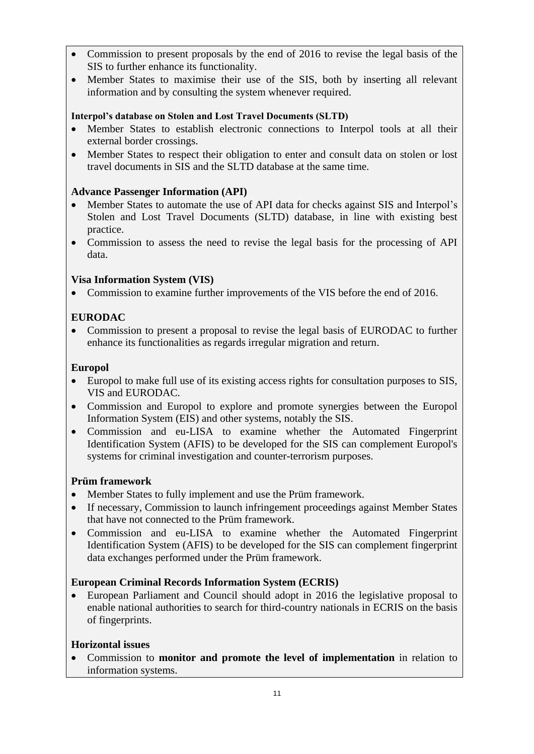- Commission to present proposals by the end of 2016 to revise the legal basis of the SIS to further enhance its functionality.
- Member States to maximise their use of the SIS, both by inserting all relevant information and by consulting the system whenever required.

## **Interpol's database on Stolen and Lost Travel Documents (SLTD)**

- Member States to establish electronic connections to Interpol tools at all their external border crossings.
- Member States to respect their obligation to enter and consult data on stolen or lost travel documents in SIS and the SLTD database at the same time.

## **Advance Passenger Information (API)**

- Member States to automate the use of API data for checks against SIS and Interpol's Stolen and Lost Travel Documents (SLTD) database, in line with existing best practice.
- Commission to assess the need to revise the legal basis for the processing of API data.

# **Visa Information System (VIS)**

• Commission to examine further improvements of the VIS before the end of 2016.

# **EURODAC**

• Commission to present a proposal to revise the legal basis of EURODAC to further enhance its functionalities as regards irregular migration and return.

## **Europol**

- Europol to make full use of its existing access rights for consultation purposes to SIS, VIS and EURODAC.
- Commission and Europol to explore and promote synergies between the Europol Information System (EIS) and other systems, notably the SIS.
- Commission and eu-LISA to examine whether the Automated Fingerprint Identification System (AFIS) to be developed for the SIS can complement Europol's systems for criminal investigation and counter-terrorism purposes.

## **Prüm framework**

- Member States to fully implement and use the Prüm framework.
- If necessary, Commission to launch infringement proceedings against Member States that have not connected to the Prüm framework.
- Commission and eu-LISA to examine whether the Automated Fingerprint Identification System (AFIS) to be developed for the SIS can complement fingerprint data exchanges performed under the Prüm framework.

# **European Criminal Records Information System (ECRIS)**

 European Parliament and Council should adopt in 2016 the legislative proposal to enable national authorities to search for third-country nationals in ECRIS on the basis of fingerprints.

## **Horizontal issues**

 Commission to **monitor and promote the level of implementation** in relation to information systems.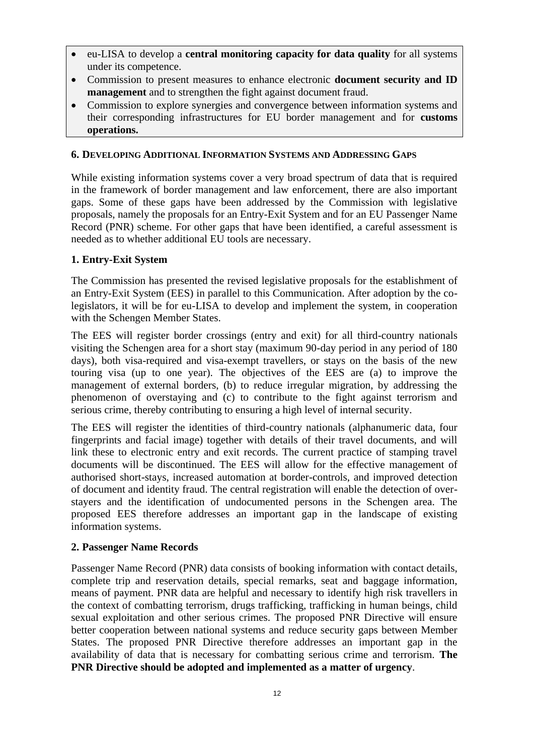- eu-LISA to develop a **central monitoring capacity for data quality** for all systems under its competence.
- Commission to present measures to enhance electronic **document security and ID management** and to strengthen the fight against document fraud.
- Commission to explore synergies and convergence between information systems and their corresponding infrastructures for EU border management and for **customs operations.**

#### **6. DEVELOPING ADDITIONAL INFORMATION SYSTEMS AND ADDRESSING GAPS**

While existing information systems cover a very broad spectrum of data that is required in the framework of border management and law enforcement, there are also important gaps. Some of these gaps have been addressed by the Commission with legislative proposals, namely the proposals for an Entry-Exit System and for an EU Passenger Name Record (PNR) scheme. For other gaps that have been identified, a careful assessment is needed as to whether additional EU tools are necessary.

#### **1. Entry-Exit System**

The Commission has presented the revised legislative proposals for the establishment of an Entry-Exit System (EES) in parallel to this Communication. After adoption by the colegislators, it will be for eu-LISA to develop and implement the system, in cooperation with the Schengen Member States.

The EES will register border crossings (entry and exit) for all third-country nationals visiting the Schengen area for a short stay (maximum 90-day period in any period of 180 days), both visa-required and visa-exempt travellers, or stays on the basis of the new touring visa (up to one year). The objectives of the EES are (a) to improve the management of external borders, (b) to reduce irregular migration, by addressing the phenomenon of overstaying and (c) to contribute to the fight against terrorism and serious crime, thereby contributing to ensuring a high level of internal security.

The EES will register the identities of third-country nationals (alphanumeric data, four fingerprints and facial image) together with details of their travel documents, and will link these to electronic entry and exit records. The current practice of stamping travel documents will be discontinued. The EES will allow for the effective management of authorised short-stays, increased automation at border-controls, and improved detection of document and identity fraud. The central registration will enable the detection of overstayers and the identification of undocumented persons in the Schengen area. The proposed EES therefore addresses an important gap in the landscape of existing information systems.

## **2. Passenger Name Records**

Passenger Name Record (PNR) data consists of booking information with contact details, complete trip and reservation details, special remarks, seat and baggage information, means of payment. PNR data are helpful and necessary to identify high risk travellers in the context of combatting terrorism, drugs trafficking, trafficking in human beings, child sexual exploitation and other serious crimes. The proposed PNR Directive will ensure better cooperation between national systems and reduce security gaps between Member States. The proposed PNR Directive therefore addresses an important gap in the availability of data that is necessary for combatting serious crime and terrorism. **The PNR Directive should be adopted and implemented as a matter of urgency**.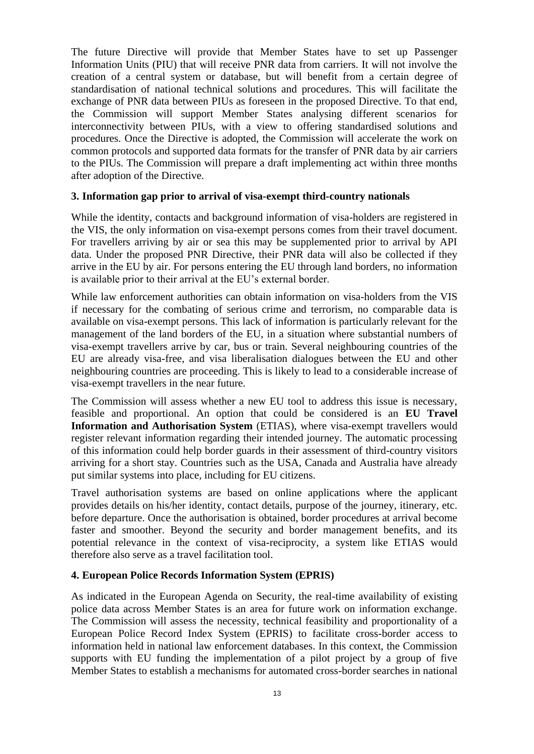The future Directive will provide that Member States have to set up Passenger Information Units (PIU) that will receive PNR data from carriers. It will not involve the creation of a central system or database, but will benefit from a certain degree of standardisation of national technical solutions and procedures. This will facilitate the exchange of PNR data between PIUs as foreseen in the proposed Directive. To that end, the Commission will support Member States analysing different scenarios for interconnectivity between PIUs, with a view to offering standardised solutions and procedures. Once the Directive is adopted, the Commission will accelerate the work on common protocols and supported data formats for the transfer of PNR data by air carriers to the PIUs. The Commission will prepare a draft implementing act within three months after adoption of the Directive.

#### **3. Information gap prior to arrival of visa-exempt third-country nationals**

While the identity, contacts and background information of visa-holders are registered in the VIS, the only information on visa-exempt persons comes from their travel document. For travellers arriving by air or sea this may be supplemented prior to arrival by API data. Under the proposed PNR Directive, their PNR data will also be collected if they arrive in the EU by air. For persons entering the EU through land borders, no information is available prior to their arrival at the EU's external border.

While law enforcement authorities can obtain information on visa-holders from the VIS if necessary for the combating of serious crime and terrorism, no comparable data is available on visa-exempt persons. This lack of information is particularly relevant for the management of the land borders of the EU, in a situation where substantial numbers of visa-exempt travellers arrive by car, bus or train. Several neighbouring countries of the EU are already visa-free, and visa liberalisation dialogues between the EU and other neighbouring countries are proceeding. This is likely to lead to a considerable increase of visa-exempt travellers in the near future.

The Commission will assess whether a new EU tool to address this issue is necessary, feasible and proportional. An option that could be considered is an **EU Travel Information and Authorisation System** (ETIAS), where visa-exempt travellers would register relevant information regarding their intended journey. The automatic processing of this information could help border guards in their assessment of third-country visitors arriving for a short stay. Countries such as the USA, Canada and Australia have already put similar systems into place, including for EU citizens.

Travel authorisation systems are based on online applications where the applicant provides details on his/her identity, contact details, purpose of the journey, itinerary, etc. before departure. Once the authorisation is obtained, border procedures at arrival become faster and smoother. Beyond the security and border management benefits, and its potential relevance in the context of visa-reciprocity, a system like ETIAS would therefore also serve as a travel facilitation tool.

#### **4. European Police Records Information System (EPRIS)**

As indicated in the European Agenda on Security, the real-time availability of existing police data across Member States is an area for future work on information exchange. The Commission will assess the necessity, technical feasibility and proportionality of a European Police Record Index System (EPRIS) to facilitate cross-border access to information held in national law enforcement databases. In this context, the Commission supports with EU funding the implementation of a pilot project by a group of five Member States to establish a mechanisms for automated cross-border searches in national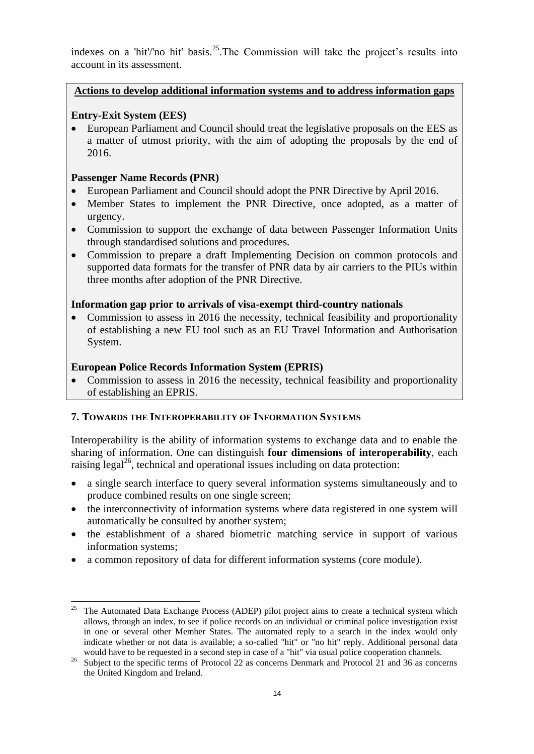indexes on a 'hit'/'no hit' basis.<sup>25</sup>.The Commission will take the project's results into account in its assessment.

## **Actions to develop additional information systems and to address information gaps**

# **Entry-Exit System (EES)**

 European Parliament and Council should treat the legislative proposals on the EES as a matter of utmost priority, with the aim of adopting the proposals by the end of 2016.

## **Passenger Name Records (PNR)**

- European Parliament and Council should adopt the PNR Directive by April 2016.
- Member States to implement the PNR Directive, once adopted, as a matter of urgency.
- Commission to support the exchange of data between Passenger Information Units through standardised solutions and procedures.
- Commission to prepare a draft Implementing Decision on common protocols and supported data formats for the transfer of PNR data by air carriers to the PIUs within three months after adoption of the PNR Directive.

## **Information gap prior to arrivals of visa-exempt third-country nationals**

• Commission to assess in 2016 the necessity, technical feasibility and proportionality of establishing a new EU tool such as an EU Travel Information and Authorisation System.

## **European Police Records Information System (EPRIS)**

• Commission to assess in 2016 the necessity, technical feasibility and proportionality of establishing an EPRIS.

## **7. TOWARDS THE INTEROPERABILITY OF INFORMATION SYSTEMS**

Interoperability is the ability of information systems to exchange data and to enable the sharing of information. One can distinguish **four dimensions of interoperability**, each raising legal<sup>26</sup>, technical and operational issues including on data protection:

- a single search interface to query several information systems simultaneously and to produce combined results on one single screen;
- the interconnectivity of information systems where data registered in one system will automatically be consulted by another system;
- the establishment of a shared biometric matching service in support of various information systems;
- a common repository of data for different information systems (core module).

 $\overline{\phantom{a}}$ <sup>25</sup> The Automated Data Exchange Process (ADEP) pilot project aims to create a technical system which allows, through an index, to see if police records on an individual or criminal police investigation exist in one or several other Member States. The automated reply to a search in the index would only indicate whether or not data is available; a so-called "hit" or "no hit" reply. Additional personal data would have to be requested in a second step in case of a "hit" via usual police cooperation channels.

<sup>&</sup>lt;sup>26</sup> Subject to the specific terms of Protocol 22 as concerns Denmark and Protocol 21 and 36 as concerns the United Kingdom and Ireland.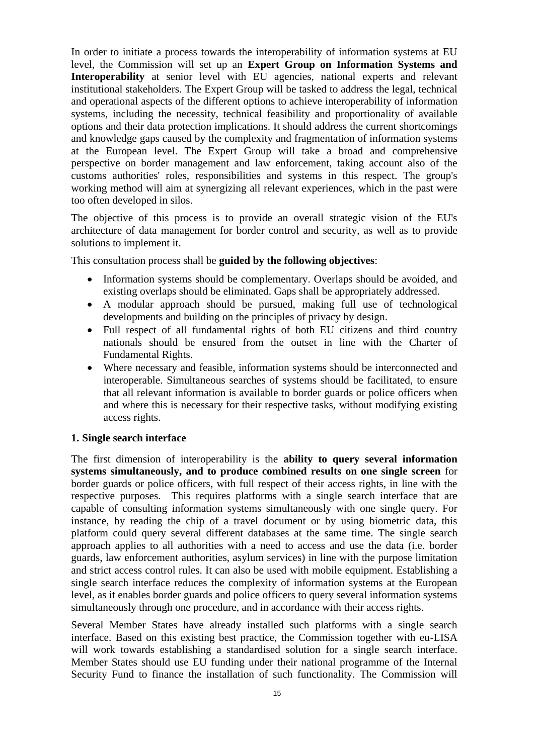In order to initiate a process towards the interoperability of information systems at EU level, the Commission will set up an **Expert Group on Information Systems and Interoperability** at senior level with EU agencies, national experts and relevant institutional stakeholders. The Expert Group will be tasked to address the legal, technical and operational aspects of the different options to achieve interoperability of information systems, including the necessity, technical feasibility and proportionality of available options and their data protection implications. It should address the current shortcomings and knowledge gaps caused by the complexity and fragmentation of information systems at the European level. The Expert Group will take a broad and comprehensive perspective on border management and law enforcement, taking account also of the customs authorities' roles, responsibilities and systems in this respect. The group's working method will aim at synergizing all relevant experiences, which in the past were too often developed in silos.

The objective of this process is to provide an overall strategic vision of the EU's architecture of data management for border control and security, as well as to provide solutions to implement it.

This consultation process shall be **guided by the following objectives**:

- Information systems should be complementary. Overlaps should be avoided, and existing overlaps should be eliminated. Gaps shall be appropriately addressed.
- A modular approach should be pursued, making full use of technological developments and building on the principles of privacy by design.
- Full respect of all fundamental rights of both EU citizens and third country nationals should be ensured from the outset in line with the Charter of Fundamental Rights.
- Where necessary and feasible, information systems should be interconnected and interoperable. Simultaneous searches of systems should be facilitated, to ensure that all relevant information is available to border guards or police officers when and where this is necessary for their respective tasks, without modifying existing access rights.

#### **1. Single search interface**

The first dimension of interoperability is the **ability to query several information systems simultaneously, and to produce combined results on one single screen** for border guards or police officers, with full respect of their access rights, in line with the respective purposes. This requires platforms with a single search interface that are capable of consulting information systems simultaneously with one single query. For instance, by reading the chip of a travel document or by using biometric data, this platform could query several different databases at the same time. The single search approach applies to all authorities with a need to access and use the data (i.e. border guards, law enforcement authorities, asylum services) in line with the purpose limitation and strict access control rules. It can also be used with mobile equipment. Establishing a single search interface reduces the complexity of information systems at the European level, as it enables border guards and police officers to query several information systems simultaneously through one procedure, and in accordance with their access rights.

Several Member States have already installed such platforms with a single search interface. Based on this existing best practice, the Commission together with eu-LISA will work towards establishing a standardised solution for a single search interface. Member States should use EU funding under their national programme of the Internal Security Fund to finance the installation of such functionality. The Commission will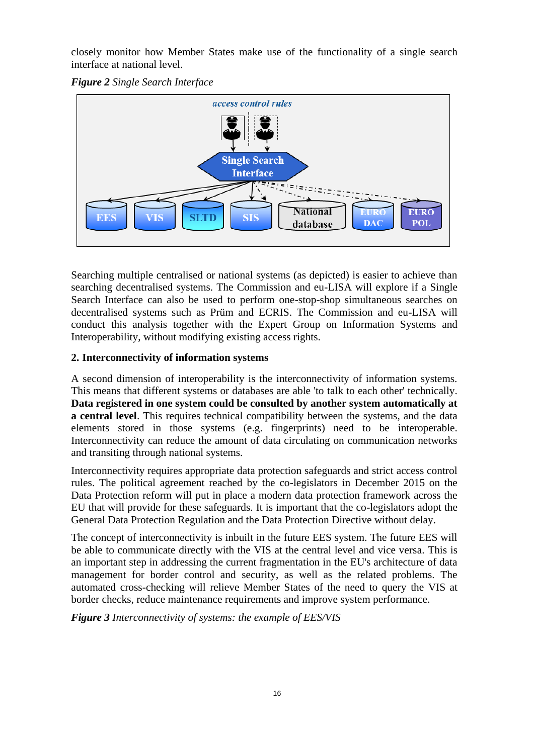closely monitor how Member States make use of the functionality of a single search interface at national level.





Searching multiple centralised or national systems (as depicted) is easier to achieve than searching decentralised systems. The Commission and eu-LISA will explore if a Single Search Interface can also be used to perform one-stop-shop simultaneous searches on decentralised systems such as Prüm and ECRIS. The Commission and eu-LISA will conduct this analysis together with the Expert Group on Information Systems and Interoperability, without modifying existing access rights.

# **2. Interconnectivity of information systems**

A second dimension of interoperability is the interconnectivity of information systems. This means that different systems or databases are able 'to talk to each other' technically. **Data registered in one system could be consulted by another system automatically at a central level**. This requires technical compatibility between the systems, and the data elements stored in those systems (e.g. fingerprints) need to be interoperable. Interconnectivity can reduce the amount of data circulating on communication networks and transiting through national systems.

Interconnectivity requires appropriate data protection safeguards and strict access control rules. The political agreement reached by the co-legislators in December 2015 on the Data Protection reform will put in place a modern data protection framework across the EU that will provide for these safeguards. It is important that the co-legislators adopt the General Data Protection Regulation and the Data Protection Directive without delay.

The concept of interconnectivity is inbuilt in the future EES system. The future EES will be able to communicate directly with the VIS at the central level and vice versa. This is an important step in addressing the current fragmentation in the EU's architecture of data management for border control and security, as well as the related problems. The automated cross-checking will relieve Member States of the need to query the VIS at border checks, reduce maintenance requirements and improve system performance.

*Figure 3 Interconnectivity of systems: the example of EES/VIS*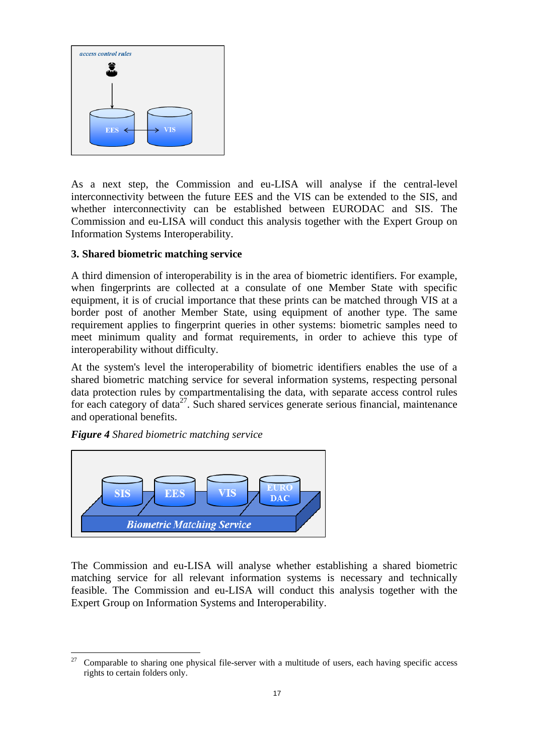

As a next step, the Commission and eu-LISA will analyse if the central-level interconnectivity between the future EES and the VIS can be extended to the SIS, and whether interconnectivity can be established between EURODAC and SIS. The Commission and eu-LISA will conduct this analysis together with the Expert Group on Information Systems Interoperability.

## **3. Shared biometric matching service**

A third dimension of interoperability is in the area of biometric identifiers. For example, when fingerprints are collected at a consulate of one Member State with specific equipment, it is of crucial importance that these prints can be matched through VIS at a border post of another Member State, using equipment of another type. The same requirement applies to fingerprint queries in other systems: biometric samples need to meet minimum quality and format requirements, in order to achieve this type of interoperability without difficulty.

At the system's level the interoperability of biometric identifiers enables the use of a shared biometric matching service for several information systems, respecting personal data protection rules by compartmentalising the data, with separate access control rules for each category of data<sup>27</sup>. Such shared services generate serious financial, maintenance and operational benefits.

#### *Figure 4 Shared biometric matching service*

l



The Commission and eu-LISA will analyse whether establishing a shared biometric matching service for all relevant information systems is necessary and technically feasible. The Commission and eu-LISA will conduct this analysis together with the Expert Group on Information Systems and Interoperability.

<sup>27</sup> Comparable to sharing one physical file-server with a multitude of users, each having specific access rights to certain folders only.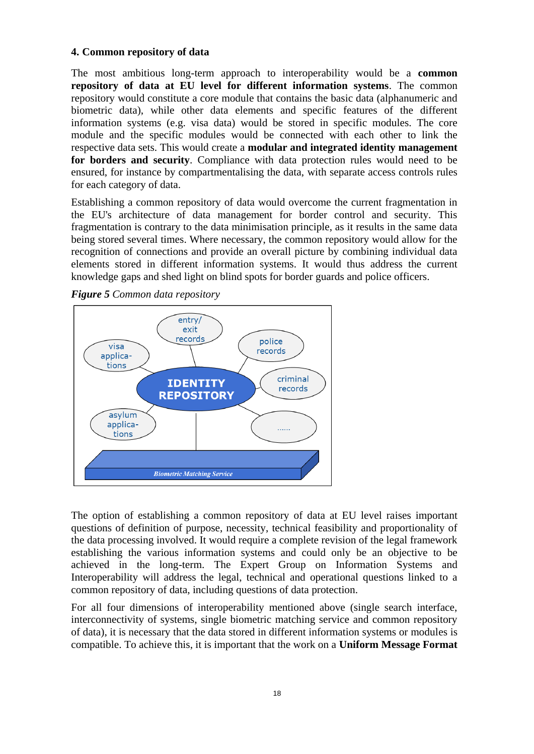## **4. Common repository of data**

The most ambitious long-term approach to interoperability would be a **common repository of data at EU level for different information systems**. The common repository would constitute a core module that contains the basic data (alphanumeric and biometric data), while other data elements and specific features of the different information systems (e.g. visa data) would be stored in specific modules. The core module and the specific modules would be connected with each other to link the respective data sets. This would create a **modular and integrated identity management for borders and security**. Compliance with data protection rules would need to be ensured, for instance by compartmentalising the data, with separate access controls rules for each category of data.

Establishing a common repository of data would overcome the current fragmentation in the EU's architecture of data management for border control and security. This fragmentation is contrary to the data minimisation principle, as it results in the same data being stored several times. Where necessary, the common repository would allow for the recognition of connections and provide an overall picture by combining individual data elements stored in different information systems. It would thus address the current knowledge gaps and shed light on blind spots for border guards and police officers.



*Figure 5 Common data repository*

The option of establishing a common repository of data at EU level raises important questions of definition of purpose, necessity, technical feasibility and proportionality of the data processing involved. It would require a complete revision of the legal framework establishing the various information systems and could only be an objective to be achieved in the long-term. The Expert Group on Information Systems and Interoperability will address the legal, technical and operational questions linked to a common repository of data, including questions of data protection.

For all four dimensions of interoperability mentioned above (single search interface, interconnectivity of systems, single biometric matching service and common repository of data), it is necessary that the data stored in different information systems or modules is compatible. To achieve this, it is important that the work on a **Uniform Message Format**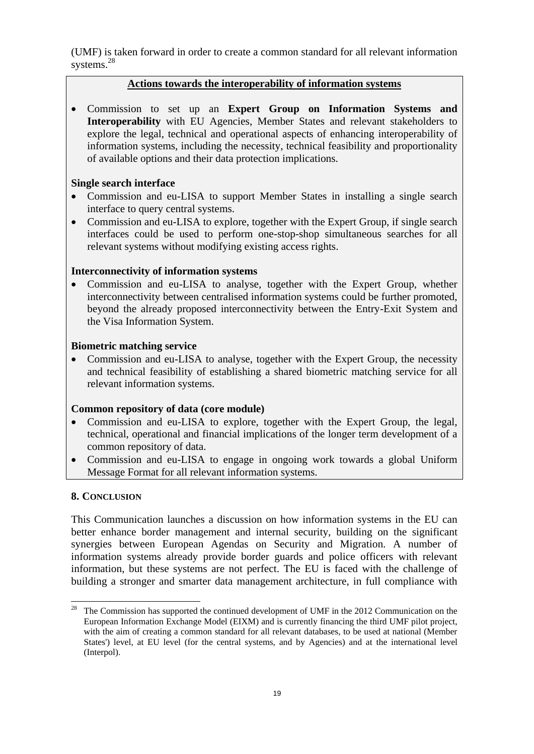(UMF) is taken forward in order to create a common standard for all relevant information systems.<sup>28</sup>

## **Actions towards the interoperability of information systems**

 Commission to set up an **Expert Group on Information Systems and Interoperability** with EU Agencies, Member States and relevant stakeholders to explore the legal, technical and operational aspects of enhancing interoperability of information systems, including the necessity, technical feasibility and proportionality of available options and their data protection implications.

## **Single search interface**

- Commission and eu-LISA to support Member States in installing a single search interface to query central systems.
- Commission and eu-LISA to explore, together with the Expert Group, if single search interfaces could be used to perform one-stop-shop simultaneous searches for all relevant systems without modifying existing access rights.

## **Interconnectivity of information systems**

 Commission and eu-LISA to analyse, together with the Expert Group, whether interconnectivity between centralised information systems could be further promoted, beyond the already proposed interconnectivity between the Entry-Exit System and the Visa Information System.

## **Biometric matching service**

 Commission and eu-LISA to analyse, together with the Expert Group, the necessity and technical feasibility of establishing a shared biometric matching service for all relevant information systems.

## **Common repository of data (core module)**

- Commission and eu-LISA to explore, together with the Expert Group, the legal, technical, operational and financial implications of the longer term development of a common repository of data.
- Commission and eu-LISA to engage in ongoing work towards a global Uniform Message Format for all relevant information systems.

## **8. CONCLUSION**

 $\overline{\phantom{a}}$ 

This Communication launches a discussion on how information systems in the EU can better enhance border management and internal security, building on the significant synergies between European Agendas on Security and Migration. A number of information systems already provide border guards and police officers with relevant information, but these systems are not perfect. The EU is faced with the challenge of building a stronger and smarter data management architecture, in full compliance with

<sup>&</sup>lt;sup>28</sup> The Commission has supported the continued development of UMF in the 2012 Communication on the European Information Exchange Model (EIXM) and is currently financing the third UMF pilot project, with the aim of creating a common standard for all relevant databases, to be used at national (Member States') level, at EU level (for the central systems, and by Agencies) and at the international level (Interpol).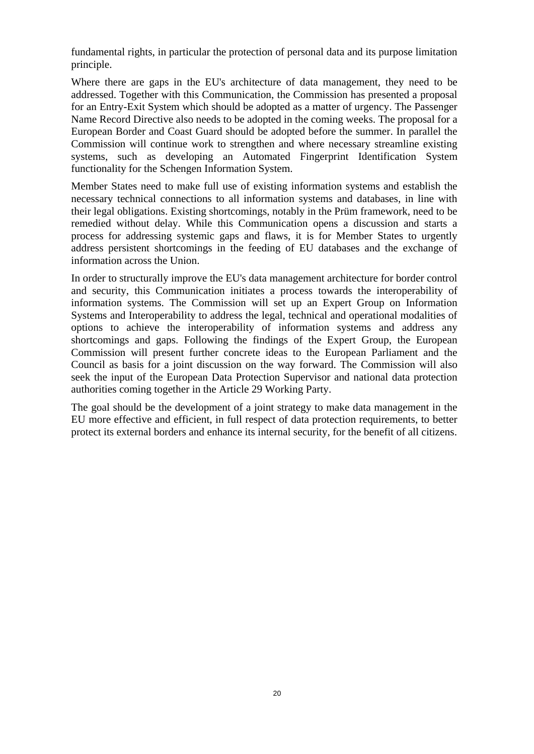fundamental rights, in particular the protection of personal data and its purpose limitation principle.

Where there are gaps in the EU's architecture of data management, they need to be addressed. Together with this Communication, the Commission has presented a proposal for an Entry-Exit System which should be adopted as a matter of urgency. The Passenger Name Record Directive also needs to be adopted in the coming weeks. The proposal for a European Border and Coast Guard should be adopted before the summer. In parallel the Commission will continue work to strengthen and where necessary streamline existing systems, such as developing an Automated Fingerprint Identification System functionality for the Schengen Information System.

Member States need to make full use of existing information systems and establish the necessary technical connections to all information systems and databases, in line with their legal obligations. Existing shortcomings, notably in the Prüm framework, need to be remedied without delay. While this Communication opens a discussion and starts a process for addressing systemic gaps and flaws, it is for Member States to urgently address persistent shortcomings in the feeding of EU databases and the exchange of information across the Union.

In order to structurally improve the EU's data management architecture for border control and security, this Communication initiates a process towards the interoperability of information systems. The Commission will set up an Expert Group on Information Systems and Interoperability to address the legal, technical and operational modalities of options to achieve the interoperability of information systems and address any shortcomings and gaps. Following the findings of the Expert Group, the European Commission will present further concrete ideas to the European Parliament and the Council as basis for a joint discussion on the way forward. The Commission will also seek the input of the European Data Protection Supervisor and national data protection authorities coming together in the Article 29 Working Party.

The goal should be the development of a joint strategy to make data management in the EU more effective and efficient, in full respect of data protection requirements, to better protect its external borders and enhance its internal security, for the benefit of all citizens.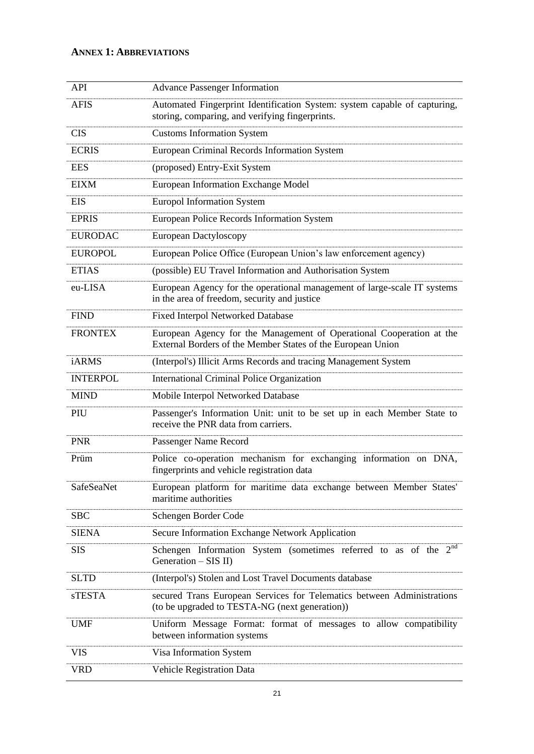# **ANNEX 1: ABBREVIATIONS**

| API               | <b>Advance Passenger Information</b>                                                                                                |
|-------------------|-------------------------------------------------------------------------------------------------------------------------------------|
| <b>AFIS</b>       | Automated Fingerprint Identification System: system capable of capturing,<br>storing, comparing, and verifying fingerprints.        |
| <b>CIS</b>        | <b>Customs Information System</b>                                                                                                   |
| <b>ECRIS</b>      | European Criminal Records Information System                                                                                        |
| <b>EES</b>        | (proposed) Entry-Exit System                                                                                                        |
| <b>EIXM</b>       | <b>European Information Exchange Model</b>                                                                                          |
| <b>EIS</b>        | <b>Europol Information System</b>                                                                                                   |
| <b>EPRIS</b>      | European Police Records Information System                                                                                          |
| <b>EURODAC</b>    | European Dactyloscopy                                                                                                               |
| <b>EUROPOL</b>    | European Police Office (European Union's law enforcement agency)                                                                    |
| <b>ETIAS</b>      | (possible) EU Travel Information and Authorisation System                                                                           |
| eu-LISA           | European Agency for the operational management of large-scale IT systems<br>in the area of freedom, security and justice            |
| <b>FIND</b>       | Fixed Interpol Networked Database                                                                                                   |
| <b>FRONTEX</b>    | European Agency for the Management of Operational Cooperation at the<br>External Borders of the Member States of the European Union |
| <b>iARMS</b>      | (Interpol's) Illicit Arms Records and tracing Management System                                                                     |
| <b>INTERPOL</b>   | <b>International Criminal Police Organization</b>                                                                                   |
| <b>MIND</b>       | Mobile Interpol Networked Database                                                                                                  |
| PIU               | Passenger's Information Unit: unit to be set up in each Member State to<br>receive the PNR data from carriers.                      |
| <b>PNR</b>        | Passenger Name Record                                                                                                               |
| Prüm              | Police co-operation mechanism for exchanging information on DNA,<br>fingerprints and vehicle registration data                      |
| <b>SafeSeaNet</b> | European platform for maritime data exchange between Member States'<br>maritime authorities                                         |
| <b>SBC</b>        | Schengen Border Code                                                                                                                |
| <b>SIENA</b>      | Secure Information Exchange Network Application                                                                                     |
| <b>SIS</b>        | Schengen Information System (sometimes referred to as of the $2nd$<br>Generation $-$ SIS II)                                        |
| <b>SLTD</b>       | (Interpol's) Stolen and Lost Travel Documents database                                                                              |
| <b>sTESTA</b>     | secured Trans European Services for Telematics between Administrations<br>(to be upgraded to TESTA-NG (next generation))            |
| <b>UMF</b>        | Uniform Message Format: format of messages to allow compatibility<br>between information systems                                    |
| <b>VIS</b>        | Visa Information System                                                                                                             |
| <b>VRD</b>        | Vehicle Registration Data                                                                                                           |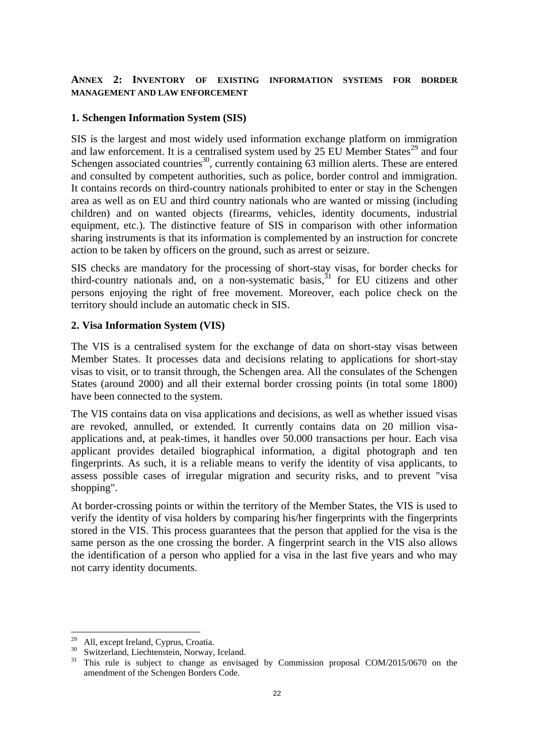#### **ANNEX 2: INVENTORY OF EXISTING INFORMATION SYSTEMS FOR BORDER MANAGEMENT AND LAW ENFORCEMENT**

#### **1. Schengen Information System (SIS)**

SIS is the largest and most widely used information exchange platform on immigration and law enforcement. It is a centralised system used by 25 EU Member States<sup>29</sup> and four Schengen associated countries<sup>30</sup>, currently containing  $63$  million alerts. These are entered and consulted by competent authorities, such as police, border control and immigration. It contains records on third-country nationals prohibited to enter or stay in the Schengen area as well as on EU and third country nationals who are wanted or missing (including children) and on wanted objects (firearms, vehicles, identity documents, industrial equipment, etc.). The distinctive feature of SIS in comparison with other information sharing instruments is that its information is complemented by an instruction for concrete action to be taken by officers on the ground, such as arrest or seizure.

SIS checks are mandatory for the processing of short-stay visas, for border checks for third-country nationals and, on a non-systematic basis,  $31$  for EU citizens and other persons enjoying the right of free movement. Moreover, each police check on the territory should include an automatic check in SIS.

#### **2. Visa Information System (VIS)**

The VIS is a centralised system for the exchange of data on short-stay visas between Member States. It processes data and decisions relating to applications for short-stay visas to visit, or to transit through, the Schengen area. All the consulates of the Schengen States (around 2000) and all their external border crossing points (in total some 1800) have been connected to the system.

The VIS contains data on visa applications and decisions, as well as whether issued visas are revoked, annulled, or extended. It currently contains data on 20 million visaapplications and, at peak-times, it handles over 50.000 transactions per hour. Each visa applicant provides detailed biographical information, a digital photograph and ten fingerprints. As such, it is a reliable means to verify the identity of visa applicants, to assess possible cases of irregular migration and security risks, and to prevent "visa shopping".

At border-crossing points or within the territory of the Member States, the VIS is used to verify the identity of visa holders by comparing his/her fingerprints with the fingerprints stored in the VIS. This process guarantees that the person that applied for the visa is the same person as the one crossing the border. A fingerprint search in the VIS also allows the identification of a person who applied for a visa in the last five years and who may not carry identity documents.

<sup>29</sup> All, except Ireland, Cyprus, Croatia.

 $\frac{30}{100}$  Switzerland, Liechtenstein, Norway, Iceland.

<sup>31</sup> This rule is subject to change as envisaged by Commission proposal COM/2015/0670 on the amendment of the Schengen Borders Code.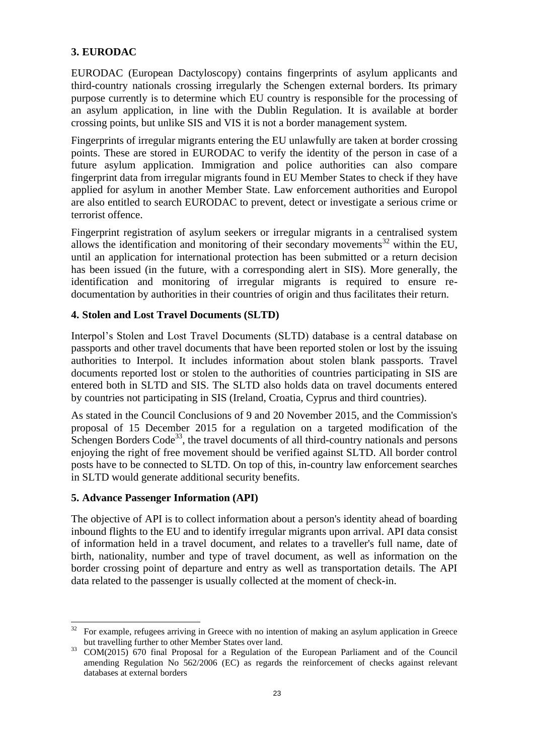# **3. EURODAC**

EURODAC (European Dactyloscopy) contains fingerprints of asylum applicants and third-country nationals crossing irregularly the Schengen external borders. Its primary purpose currently is to determine which EU country is responsible for the processing of an asylum application, in line with the Dublin Regulation. It is available at border crossing points, but unlike SIS and VIS it is not a border management system.

Fingerprints of irregular migrants entering the EU unlawfully are taken at border crossing points. These are stored in EURODAC to verify the identity of the person in case of a future asylum application. Immigration and police authorities can also compare fingerprint data from irregular migrants found in EU Member States to check if they have applied for asylum in another Member State. Law enforcement authorities and Europol are also entitled to search EURODAC to prevent, detect or investigate a serious crime or terrorist offence.

Fingerprint registration of asylum seekers or irregular migrants in a centralised system allows the identification and monitoring of their secondary movements<sup>32</sup> within the EU, until an application for international protection has been submitted or a return decision has been issued (in the future, with a corresponding alert in SIS). More generally, the identification and monitoring of irregular migrants is required to ensure redocumentation by authorities in their countries of origin and thus facilitates their return.

## **4. Stolen and Lost Travel Documents (SLTD)**

Interpol's Stolen and Lost Travel Documents (SLTD) database is a central database on passports and other travel documents that have been reported stolen or lost by the issuing authorities to Interpol. It includes information about stolen blank passports. Travel documents reported lost or stolen to the authorities of countries participating in SIS are entered both in SLTD and SIS. The SLTD also holds data on travel documents entered by countries not participating in SIS (Ireland, Croatia, Cyprus and third countries).

As stated in the Council Conclusions of 9 and 20 November 2015, and the Commission's proposal of 15 December 2015 for a regulation on a targeted modification of the Schengen Borders Code<sup>33</sup>, the travel documents of all third-country nationals and persons enjoying the right of free movement should be verified against SLTD. All border control posts have to be connected to SLTD. On top of this, in-country law enforcement searches in SLTD would generate additional security benefits.

# **5. Advance Passenger Information (API)**

l

The objective of API is to collect information about a person's identity ahead of boarding inbound flights to the EU and to identify irregular migrants upon arrival. API data consist of information held in a travel document, and relates to a traveller's full name, date of birth, nationality, number and type of travel document, as well as information on the border crossing point of departure and entry as well as transportation details. The API data related to the passenger is usually collected at the moment of check-in.

<sup>32</sup> For example, refugees arriving in Greece with no intention of making an asylum application in Greece but travelling further to other Member States over land.

<sup>&</sup>lt;sup>33</sup> COM(2015) 670 final Proposal for a Regulation of the European Parliament and of the Council amending Regulation No 562/2006 (EC) as regards the reinforcement of checks against relevant databases at external borders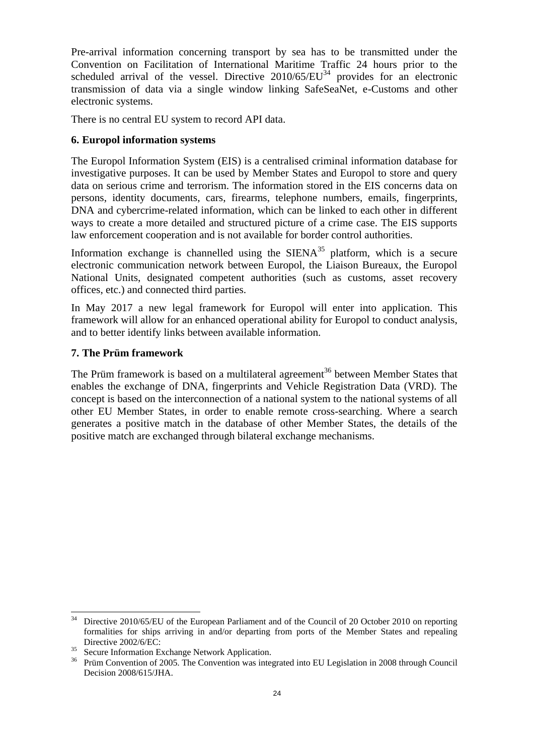Pre-arrival information concerning transport by sea has to be transmitted under the Convention on Facilitation of International Maritime Traffic 24 hours prior to the scheduled arrival of the vessel. Directive 2010/65/EU<sup>34</sup> provides for an electronic transmission of data via a single window linking SafeSeaNet, e-Customs and other electronic systems.

There is no central EU system to record API data.

## **6. Europol information systems**

The Europol Information System (EIS) is a centralised criminal information database for investigative purposes. It can be used by Member States and Europol to store and query data on serious crime and terrorism. The information stored in the EIS concerns data on persons, identity documents, cars, firearms, telephone numbers, emails, fingerprints, DNA and cybercrime-related information, which can be linked to each other in different ways to create a more detailed and structured picture of a crime case. The EIS supports law enforcement cooperation and is not available for border control authorities.

Information exchange is channelled using the  $SIENA^{35}$  platform, which is a secure electronic communication network between Europol, the Liaison Bureaux, the Europol National Units, designated competent authorities (such as customs, asset recovery offices, etc.) and connected third parties.

In May 2017 a new legal framework for Europol will enter into application. This framework will allow for an enhanced operational ability for Europol to conduct analysis, and to better identify links between available information.

#### **7. The Prüm framework**

The Prüm framework is based on a multilateral agreement<sup>36</sup> between Member States that enables the exchange of DNA, fingerprints and Vehicle Registration Data (VRD). The concept is based on the interconnection of a national system to the national systems of all other EU Member States, in order to enable remote cross-searching. Where a search generates a positive match in the database of other Member States, the details of the positive match are exchanged through bilateral exchange mechanisms.

l

Directive 2010/65/EU of the European Parliament and of the Council of 20 October 2010 on reporting formalities for ships arriving in and/or departing from ports of the Member States and repealing Directive 2002/6/EC:

<sup>&</sup>lt;sup>35</sup> Secure Information Exchange Network Application.

<sup>&</sup>lt;sup>36</sup> Prüm Convention of 2005. The Convention was integrated into EU Legislation in 2008 through Council Decision 2008/615/JHA.